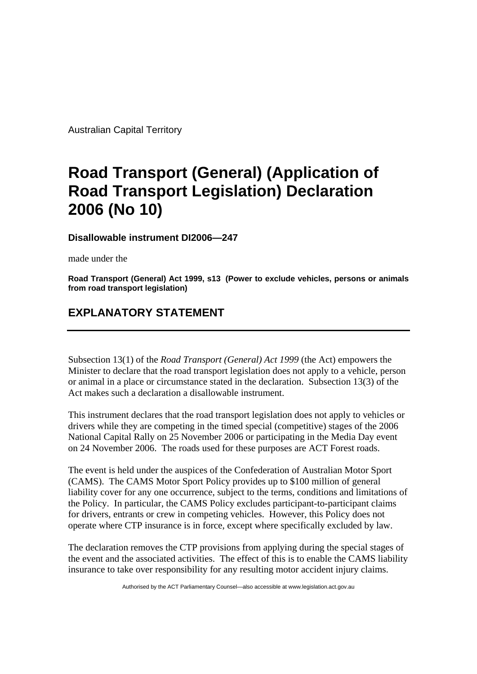Australian Capital Territory

## **Road Transport (General) (Application of Road Transport Legislation) Declaration 2006 (No 10)**

## **Disallowable instrument DI2006—247**

made under the

**Road Transport (General) Act 1999, s13 (Power to exclude vehicles, persons or animals from road transport legislation)**

## **EXPLANATORY STATEMENT**

Subsection 13(1) of the *Road Transport (General) Act 1999* (the Act) empowers the Minister to declare that the road transport legislation does not apply to a vehicle, person or animal in a place or circumstance stated in the declaration. Subsection 13(3) of the Act makes such a declaration a disallowable instrument.

This instrument declares that the road transport legislation does not apply to vehicles or drivers while they are competing in the timed special (competitive) stages of the 2006 National Capital Rally on 25 November 2006 or participating in the Media Day event on 24 November 2006. The roads used for these purposes are ACT Forest roads.

The event is held under the auspices of the Confederation of Australian Motor Sport (CAMS). The CAMS Motor Sport Policy provides up to \$100 million of general liability cover for any one occurrence, subject to the terms, conditions and limitations of the Policy. In particular, the CAMS Policy excludes participant-to-participant claims for drivers, entrants or crew in competing vehicles. However, this Policy does not operate where CTP insurance is in force, except where specifically excluded by law.

The declaration removes the CTP provisions from applying during the special stages of the event and the associated activities. The effect of this is to enable the CAMS liability insurance to take over responsibility for any resulting motor accident injury claims.